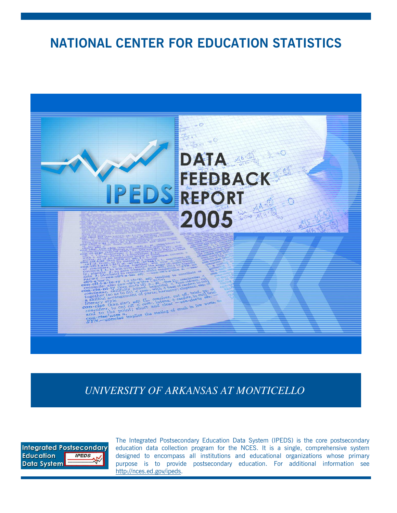**NATIONAL CENTER FOR EDUCATION STATISTICS**



*UNIVERSITY OF ARKANSAS AT MONTICELLO*



The Integrated Postsecondary Education Data System (IPEDS) is the core postsecondary education data collection program for the NCES. It is a single, comprehensive system designed to encompass all institutions and educational organizations whose primary purpose is to provide postsecondary education. For additional information see http://nces.ed.gov/ipeds.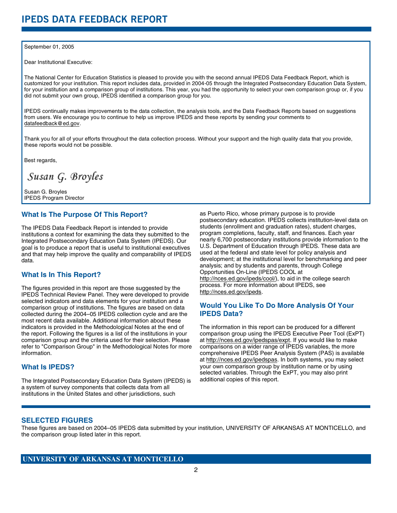#### September 01, 2005

Dear Institutional Executive:

The National Center for Education Statistics is pleased to provide you with the second annual IPEDS Data Feedback Report, which is customized for your institution. This report includes data, provided in 2004-05 through the Integrated Postsecondary Education Data System, for your institution and a comparison group of institutions. This year, you had the opportunity to select your own comparison group or, if you did not submit your own group, IPEDS identified a comparison group for you.

IPEDS continually makes improvements to the data collection, the analysis tools, and the Data Feedback Reports based on suggestions from users. We encourage you to continue to help us improve IPEDS and these reports by sending your comments to datafeedback@ed.gov.

Thank you for all of your efforts throughout the data collection process. Without your support and the high quality data that you provide, these reports would not be possible.

Best regards,

Susan G. Broyles

Susan G. Broyles IPEDS Program Director

## **What Is The Purpose Of This Report?**

The IPEDS Data Feedback Report is intended to provide institutions a context for examining the data they submitted to the Integrated Postsecondary Education Data System (IPEDS). Our goal is to produce a report that is useful to institutional executives and that may help improve the quality and comparability of IPEDS data.

# **What Is In This Report?**

The figures provided in this report are those suggested by the IPEDS Technical Review Panel. They were developed to provide selected indicators and data elements for your institution and a comparison group of institutions. The figures are based on data collected during the 2004–05 IPEDS collection cycle and are the most recent data available. Additional information about these indicators is provided in the Methodological Notes at the end of the report. Following the figures is a list of the institutions in your comparison group and the criteria used for their selection. Please refer to "Comparison Group" in the Methodological Notes for more information.

# **What Is IPEDS?**

The Integrated Postsecondary Education Data System (IPEDS) is a system of survey components that collects data from all institutions in the United States and other jurisdictions, such

as Puerto Rico, whose primary purpose is to provide postsecondary education. IPEDS collects institution-level data on students (enrollment and graduation rates), student charges, program completions, faculty, staff, and finances. Each year nearly 6,700 postsecondary institutions provide information to the U.S. Department of Education through IPEDS. These data are used at the federal and state level for policy analysis and development; at the institutional level for benchmarking and peer analysis; and by students and parents, through College Opportunities On-Line (IPEDS COOL at http://nces.ed.gov/ipeds/cool/), to aid in the college search process. For more information about IPEDS, see http://nces.ed.gov/ipeds.

# **Would You Like To Do More Analysis Of Your IPEDS Data?**

The information in this report can be produced for a different comparison group using the IPEDS Executive Peer Tool (ExPT) at http://nces.ed.gov/ipedspas/expt. If you would like to make comparisons on a wider range of IPEDS variables, the more comprehensive IPEDS Peer Analysis System (PAS) is available at http://nces.ed.gov/ipedspas. In both systems, you may select your own comparison group by institution name or by using selected variables. Through the ExPT, you may also print additional copies of this report.

### **SELECTED FIGURES**

These figures are based on 2004–05 IPEDS data submitted by your institution, UNIVERSITY OF ARKANSAS AT MONTICELLO, and the comparison group listed later in this report.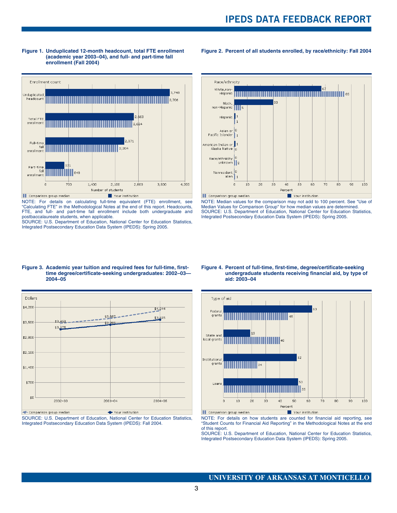



NOTE: For details on calculating full-time equivalent (FTE) enrollment, see "Calculating FTE" in the Methodological Notes at the end of this report. Headcounts, FTE, and full- and part-time fall enrollment include both undergraduate and postbaccalaureate students, when applicable.

SOURCE: U.S. Department of Education, National Center for Education Statistics, Integrated Postsecondary Education Data System (IPEDS): Spring 2005.



**Figure 2. Percent of all students enrolled, by race/ethnicity: Fall 2004**

NOTE: Median values for the comparison may not add to 100 percent. See "Use of Median Values for Comparison Group" for how median values are determined. SOURCE: U.S. Department of Education, National Center for Education Statistics, Integrated Postsecondary Education Data System (IPEDS): Spring 2005.

#### **Figure 3. Academic year tuition and required fees for full-time, firsttime degree/certificate-seeking undergraduates: 2002–03— 2004–05**



SOURCE: U.S. Department of Education, National Center for Education Statistics, Integrated Postsecondary Education Data System (IPEDS): Fall 2004.

#### **Figure 4. Percent of full-time, first-time, degree/certificate-seeking undergraduate students receiving financial aid, by type of aid: 2003–04**



NOTE: For details on how students are counted for financial aid reporting, see "Student Counts for Financial Aid Reporting" in the Methodological Notes at the end of this report.

SOURCE: U.S. Department of Education, National Center for Education Statistics, Integrated Postsecondary Education Data System (IPEDS): Spring 2005.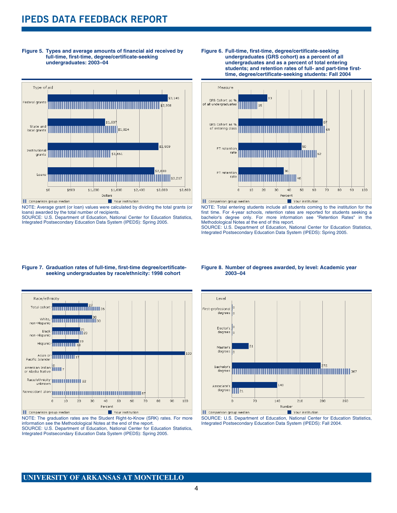# **IPEDS DATA FEEDBACK REPORT**





NOTE: Average grant (or loan) values were calculated by dividing the total grants (or loans) awarded by the total number of recipients.

SOURCE: U.S. Department of Education, National Center for Education Statistics, Integrated Postsecondary Education Data System (IPEDS): Spring 2005.





NOTE: Total entering students include all students coming to the institution for the first time. For 4-year schools, retention rates are reported for students seeking a bachelor's degree only. For more information see "Retention Rates" in the Methodological Notes at the end of this report.

SOURCE: U.S. Department of Education, National Center for Education Statistics, Integrated Postsecondary Education Data System (IPEDS): Spring 2005.

#### **Figure 7. Graduation rates of full-time, first-time degree/certificateseeking undergraduates by race/ethnicity: 1998 cohort**



NOTE: The graduation rates are the Student Right-to-Know (SRK) rates. For more information see the Methodological Notes at the end of the report.

SOURCE: U.S. Department of Education, National Center for Education Statistics, Integrated Postsecondary Education Data System (IPEDS): Spring 2005.

#### **Figure 8. Number of degrees awarded, by level: Academic year 2003–04**



SOURCE: U.S. Department of Education, National Center for Education Statistics, Integrated Postsecondary Education Data System (IPEDS): Fall 2004.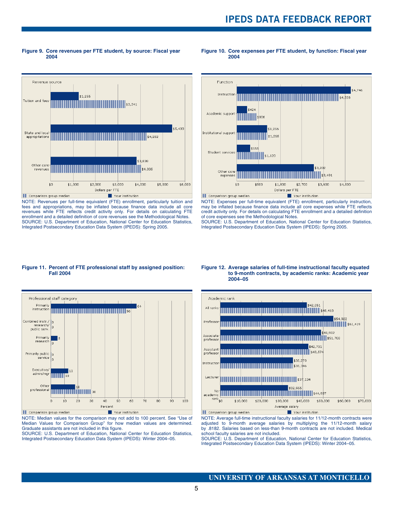**Figure 9. Core revenues per FTE student, by source: Fiscal year 2004**

**Figure 10. Core expenses per FTE student, by function: Fiscal year 2004**



NOTE: Revenues per full-time equivalent (FTE) enrollment, particularly tuition and fees and appropriations, may be inflated because finance data include all core revenues while FTE reflects credit activity only. For details on calculating FTE enrollment and a detailed definition of core revenues see the Methodological Notes. SOURCE: U.S. Department of Education, National Center for Education Statistics, Integrated Postsecondary Education Data System (IPEDS): Spring 2005.



NOTE: Expenses per full-time equivalent (FTE) enrollment, particularly instruction, may be inflated because finance data include all core expenses while FTE reflects credit activity only. For details on calculating FTE enrollment and a detailed definition of core expenses see the Methodological Notes.

SOURCE: U.S. Department of Education, National Center for Education Statistics, Integrated Postsecondary Education Data System (IPEDS): Spring 2005.

#### **Figure 11. Percent of FTE professional staff by assigned position: Fall 2004**



NOTE: Median values for the comparison may not add to 100 percent. See "Use of Median Values for Comparison Group" for how median values are determined. Graduate assistants are not included in this figure.

SOURCE: U.S. Department of Education, National Center for Education Statistics, Integrated Postsecondary Education Data System (IPEDS): Winter 2004–05.

#### **Figure 12. Average salaries of full-time instructional faculty equated to 9-month contracts, by academic ranks: Academic year 2004–05**



NOTE: Average full-time instructional faculty salaries for 11/12-month contracts were adjusted to 9-month average salaries by multiplying the 11/12-month salary by .8182. Salaries based on less-than 9-month contracts are not included. Medical school faculty salaries are not included.

SOURCE: U.S. Department of Education, National Center for Education Statistics, Integrated Postsecondary Education Data System (IPEDS): Winter 2004–05.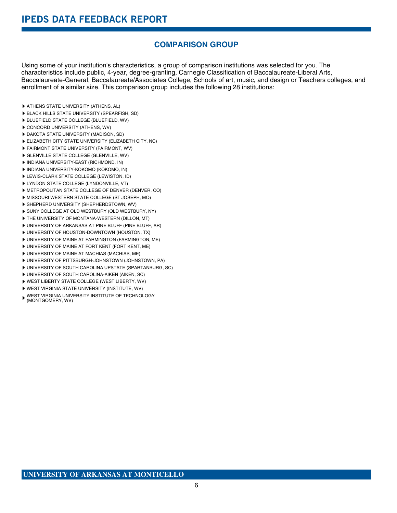# **COMPARISON GROUP**

Using some of your institution's characteristics, a group of comparison institutions was selected for you. The characteristics include public, 4-year, degree-granting, Carnegie Classification of Baccalaureate-Liberal Arts, Baccalaureate-General, Baccalaureate/Associates College, Schools of art, music, and design or Teachers colleges, and enrollment of a similar size. This comparison group includes the following 28 institutions:

- ATHENS STATE UNIVERSITY (ATHENS, AL)
- BLACK HILLS STATE UNIVERSITY (SPEARFISH, SD)
- BLUEFIELD STATE COLLEGE (BLUEFIELD, WV)
- CONCORD UNIVERSITY (ATHENS, WV)
- DAKOTA STATE UNIVERSITY (MADISON, SD)
- ELIZABETH CITY STATE UNIVERSITY (ELIZABETH CITY, NC)
- FAIRMONT STATE UNIVERSITY (FAIRMONT, WV)
- GLENVILLE STATE COLLEGE (GLENVILLE, WV)
- INDIANA UNIVERSITY-EAST (RICHMOND, IN)
- INDIANA UNIVERSITY-KOKOMO (KOKOMO, IN)
- **LEWIS-CLARK STATE COLLEGE (LEWISTON, ID)**
- **LYNDON STATE COLLEGE (LYNDONVILLE, VT)**
- METROPOLITAN STATE COLLEGE OF DENVER (DENVER, CO)
- MISSOURI WESTERN STATE COLLEGE (ST JOSEPH, MO)
- SHEPHERD UNIVERSITY (SHEPHERDSTOWN, WV)
- SUNY COLLEGE AT OLD WESTBURY (OLD WESTBURY, NY)
- THE UNIVERSITY OF MONTANA-WESTERN (DILLON, MT)
- UNIVERSITY OF ARKANSAS AT PINE BLUFF (PINE BLUFF, AR)
- UNIVERSITY OF HOUSTON-DOWNTOWN (HOUSTON, TX)
- UNIVERSITY OF MAINE AT FARMINGTON (FARMINGTON, ME)
- UNIVERSITY OF MAINE AT FORT KENT (FORT KENT, ME)
- UNIVERSITY OF MAINE AT MACHIAS (MACHIAS, ME)
- UNIVERSITY OF PITTSBURGH-JOHNSTOWN (JOHNSTOWN, PA)
- UNIVERSITY OF SOUTH CAROLINA UPSTATE (SPARTANBURG, SC)
- UNIVERSITY OF SOUTH CAROLINA-AIKEN (AIKEN, SC)
- WEST LIBERTY STATE COLLEGE (WEST LIBERTY, WV)
- WEST VIRGINIA STATE UNIVERSITY (INSTITUTE, WV)
- WEST VIRGINIA UNIVERSITY INSTITUTE OF TECHNOLOGY (MONTGOMERY, WV)
-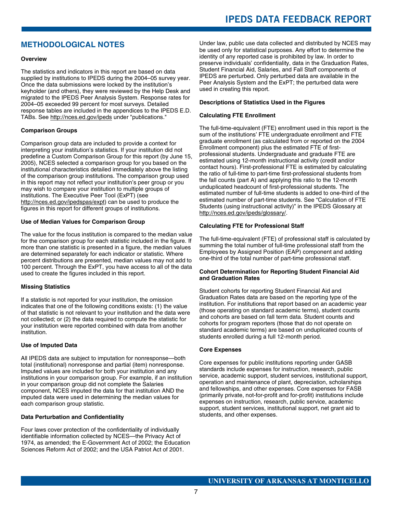# **IPEDS DATA FEEDBACK REPORT**

# **METHODOLOGICAL NOTES**

#### **Overview**

The statistics and indicators in this report are based on data supplied by institutions to IPEDS during the 2004–05 survey year. Once the data submissions were locked by the institution's keyholder (and others), they were reviewed by the Help Desk and migrated to the IPEDS Peer Analysis System. Response rates for 2004–05 exceeded 99 percent for most surveys. Detailed response tables are included in the appendices to the IPEDS E.D. TABs. See http://nces.ed.gov/ipeds under "publications."

#### **Comparison Groups**

Comparison group data are included to provide a context for interpreting your institution's statistics. If your institution did not predefine a Custom Comparison Group for this report (by June 15, 2005), NCES selected a comparison group for you based on the institutional characteristics detailed immediately above the listing of the comparison group institutions. The comparison group used in this report may not reflect your institution's peer group or you may wish to compare your institution to multiple groups of institutions. The Executive Peer Tool (ExPT) (see http://nces.ed.gov/ipedspas/expt) can be used to produce the figures in this report for different groups of institutions.

#### **Use of Median Values for Comparison Group**

The value for the focus institution is compared to the median value for the comparison group for each statistic included in the figure. If more than one statistic is presented in a figure, the median values are determined separately for each indicator or statistic. Where percent distributions are presented, median values may not add to 100 percent. Through the ExPT, you have access to all of the data used to create the figures included in this report.

#### **Missing Statistics**

If a statistic is not reported for your institution, the omission indicates that one of the following conditions exists: (1) the value of that statistic is not relevant to your institution and the data were not collected; or (2) the data required to compute the statistic for your institution were reported combined with data from another institution.

#### **Use of Imputed Data**

All IPEDS data are subject to imputation for nonresponse—both total (institutional) nonresponse and partial (item) nonresponse. Imputed values are included for both your institution and any institutions in your comparison group. For example, if an institution in your comparison group did not complete the Salaries component, NCES imputed the data for that institution AND the imputed data were used in determining the median values for each comparison group statistic.

#### **Data Perturbation and Confidentiality**

Four laws cover protection of the confidentiality of individually identifiable information collected by NCES—the Privacy Act of 1974, as amended; the E-Government Act of 2002; the Education Sciences Reform Act of 2002; and the USA Patriot Act of 2001.

Under law, public use data collected and distributed by NCES may be used only for statistical purposes. Any effort to determine the identity of any reported case is prohibited by law. In order to preserve individuals' confidentiality, data in the Graduation Rates, Student Financial Aid, Salaries, and Fall Staff components of IPEDS are perturbed. Only perturbed data are available in the Peer Analysis System and the ExPT; the perturbed data were used in creating this report.

#### **Descriptions of Statistics Used in the Figures**

#### **Calculating FTE Enrollment**

The full-time-equivalent (FTE) enrollment used in this report is the sum of the institutions' FTE undergraduate enrollment and FTE graduate enrollment (as calculated from or reported on the 2004 Enrollment component) plus the estimated FTE of firstprofessional students. Undergraduate and graduate FTE are estimated using 12-month instructional activity (credit and/or contact hours). First-professional FTE is estimated by calculating the ratio of full-time to part-time first-professional students from the fall counts (part A) and applying this ratio to the 12-month unduplicated headcount of first-professional students. The estimated number of full-time students is added to one-third of the estimated number of part-time students. See "Calculation of FTE Students (using instructional activity)" in the IPEDS Glossary at http://nces.ed.gov/ipeds/glossary/.

#### **Calculating FTE for Professional Staff**

The full-time-equivalent (FTE) of professional staff is calculated by summing the total number of full-time professional staff from the Employees by Assigned Position (EAP) component and adding one-third of the total number of part-time professional staff.

#### **Cohort Determination for Reporting Student Financial Aid and Graduation Rates**

Student cohorts for reporting Student Financial Aid and Graduation Rates data are based on the reporting type of the institution. For institutions that report based on an academic year (those operating on standard academic terms), student counts and cohorts are based on fall term data. Student counts and cohorts for program reporters (those that do not operate on standard academic terms) are based on unduplicated counts of students enrolled during a full 12-month period.

#### **Core Expenses**

Core expenses for public institutions reporting under GASB standards include expenses for instruction, research, public service, academic support, student services, institutional support, operation and maintenance of plant, depreciation, scholarships and fellowships, and other expenses. Core expenses for FASB (primarily private, not-for-profit and for-profit) institutions include expenses on instruction, research, public service, academic support, student services, institutional support, net grant aid to students, and other expenses.